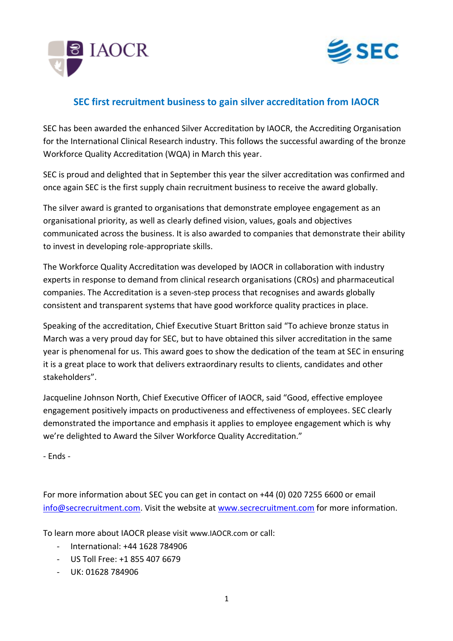



## **SEC first recruitment business to gain silver accreditation from IAOCR**

SEC has been awarded the enhanced Silver Accreditation by IAOCR, the Accrediting Organisation for the International Clinical Research industry. This follows the successful awarding of the bronze Workforce Quality Accreditation (WQA) in March this year.

SEC is proud and delighted that in September this year the silver accreditation was confirmed and once again SEC is the first supply chain recruitment business to receive the award globally.

The silver award is granted to organisations that demonstrate employee engagement as an organisational priority, as well as clearly defined vision, values, goals and objectives communicated across the business. It is also awarded to companies that demonstrate their ability to invest in developing role-appropriate skills.

The Workforce Quality Accreditation was developed by IAOCR in collaboration with industry experts in response to demand from clinical research organisations (CROs) and pharmaceutical companies. The Accreditation is a seven-step process that recognises and awards globally consistent and transparent systems that have good workforce quality practices in place.

Speaking of the accreditation, Chief Executive Stuart Britton said "To achieve bronze status in March was a very proud day for SEC, but to have obtained this silver accreditation in the same year is phenomenal for us. This award goes to show the dedication of the team at SEC in ensuring it is a great place to work that delivers extraordinary results to clients, candidates and other stakeholders".

Jacqueline Johnson North, Chief Executive Officer of IAOCR, said "Good, effective employee engagement positively impacts on productiveness and effectiveness of employees. SEC clearly demonstrated the importance and emphasis it applies to employee engagement which is why we're delighted to Award the Silver Workforce Quality Accreditation."

- Ends -

For more information about SEC you can get in contact on +44 (0) 020 7255 6600 or email [info@secrecruitment.com.](mailto:info@secrecruitment.com) Visit the website at [www.secrecruitment.com](http://www.secrecruitment.com/) for more information.

To learn more about IAOCR please visit [www.IAOCR.com](http://www.iaocr.com/) or call:

- International: +44 1628 784906
- US Toll Free: +1 855 407 6679
- $-$  UK: 01628 784906